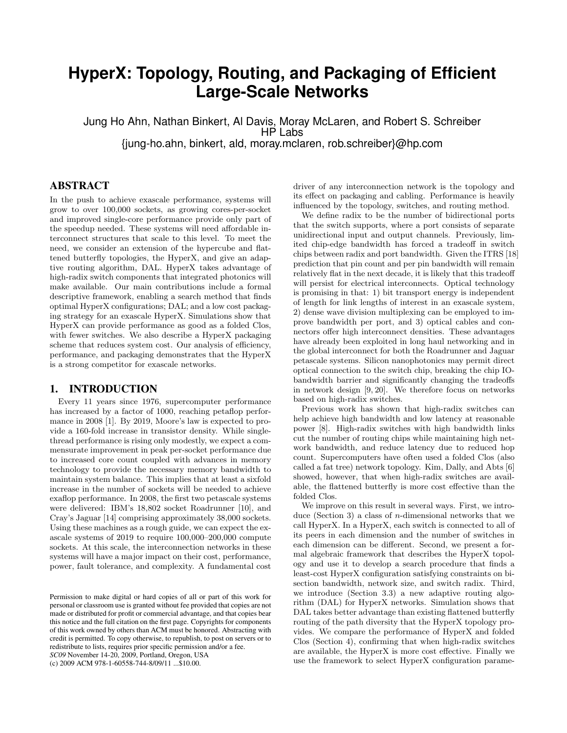# **HyperX: Topology, Routing, and Packaging of Efficient Large-Scale Networks**

Jung Ho Ahn, Nathan Binkert, Al Davis, Moray McLaren, and Robert S. Schreiber HP Labs {jung-ho.ahn, binkert, ald, moray.mclaren, rob.schreiber}@hp.com

# ABSTRACT

In the push to achieve exascale performance, systems will grow to over 100,000 sockets, as growing cores-per-socket and improved single-core performance provide only part of the speedup needed. These systems will need affordable interconnect structures that scale to this level. To meet the need, we consider an extension of the hypercube and flattened butterfly topologies, the HyperX, and give an adaptive routing algorithm, DAL. HyperX takes advantage of high-radix switch components that integrated photonics will make available. Our main contributions include a formal descriptive framework, enabling a search method that finds optimal HyperX configurations; DAL; and a low cost packaging strategy for an exascale HyperX. Simulations show that HyperX can provide performance as good as a folded Clos, with fewer switches. We also describe a HyperX packaging scheme that reduces system cost. Our analysis of efficiency, performance, and packaging demonstrates that the HyperX is a strong competitor for exascale networks.

# 1. INTRODUCTION

Every 11 years since 1976, supercomputer performance has increased by a factor of 1000, reaching petaflop performance in 2008 [1]. By 2019, Moore's law is expected to provide a 160-fold increase in transistor density. While singlethread performance is rising only modestly, we expect a commensurate improvement in peak per-socket performance due to increased core count coupled with advances in memory technology to provide the necessary memory bandwidth to maintain system balance. This implies that at least a sixfold increase in the number of sockets will be needed to achieve exaflop performance. In 2008, the first two petascale systems were delivered: IBM's 18,802 socket Roadrunner [10], and Cray's Jaguar [14] comprising approximately 38,000 sockets. Using these machines as a rough guide, we can expect the exascale systems of 2019 to require 100,000–200,000 compute sockets. At this scale, the interconnection networks in these systems will have a major impact on their cost, performance, power, fault tolerance, and complexity. A fundamental cost

*SC09* November 14-20, 2009, Portland, Oregon, USA

(c) 2009 ACM 978-1-60558-744-8/09/11 ...\$10.00.

driver of any interconnection network is the topology and its effect on packaging and cabling. Performance is heavily influenced by the topology, switches, and routing method.

We define radix to be the number of bidirectional ports that the switch supports, where a port consists of separate unidirectional input and output channels. Previously, limited chip-edge bandwidth has forced a tradeoff in switch chips between radix and port bandwidth. Given the ITRS [18] prediction that pin count and per pin bandwidth will remain relatively flat in the next decade, it is likely that this tradeoff will persist for electrical interconnects. Optical technology is promising in that: 1) bit transport energy is independent of length for link lengths of interest in an exascale system, 2) dense wave division multiplexing can be employed to improve bandwidth per port, and 3) optical cables and connectors offer high interconnect densities. These advantages have already been exploited in long haul networking and in the global interconnect for both the Roadrunner and Jaguar petascale systems. Silicon nanophotonics may permit direct optical connection to the switch chip, breaking the chip IObandwidth barrier and significantly changing the tradeoffs in network design [9, 20]. We therefore focus on networks based on high-radix switches.

Previous work has shown that high-radix switches can help achieve high bandwidth and low latency at reasonable power [8]. High-radix switches with high bandwidth links cut the number of routing chips while maintaining high network bandwidth, and reduce latency due to reduced hop count. Supercomputers have often used a folded Clos (also called a fat tree) network topology. Kim, Dally, and Abts [6] showed, however, that when high-radix switches are available, the flattened butterfly is more cost effective than the folded Clos.

We improve on this result in several ways. First, we introduce (Section 3) a class of n-dimensional networks that we call HyperX. In a HyperX, each switch is connected to all of its peers in each dimension and the number of switches in each dimension can be different. Second, we present a formal algebraic framework that describes the HyperX topology and use it to develop a search procedure that finds a least-cost HyperX configuration satisfying constraints on bisection bandwidth, network size, and switch radix. Third, we introduce (Section 3.3) a new adaptive routing algorithm (DAL) for HyperX networks. Simulation shows that DAL takes better advantage than existing flattened butterfly routing of the path diversity that the HyperX topology provides. We compare the performance of HyperX and folded Clos (Section 4), confirming that when high-radix switches are available, the HyperX is more cost effective. Finally we use the framework to select HyperX configuration parame-

Permission to make digital or hard copies of all or part of this work for personal or classroom use is granted without fee provided that copies are not made or distributed for profit or commercial advantage, and that copies bear this notice and the full citation on the first page. Copyrights for components of this work owned by others than ACM must be honored. Abstracting with credit is permitted. To copy otherwise, to republish, to post on servers or to redistribute to lists, requires prior specific permission and/or a fee.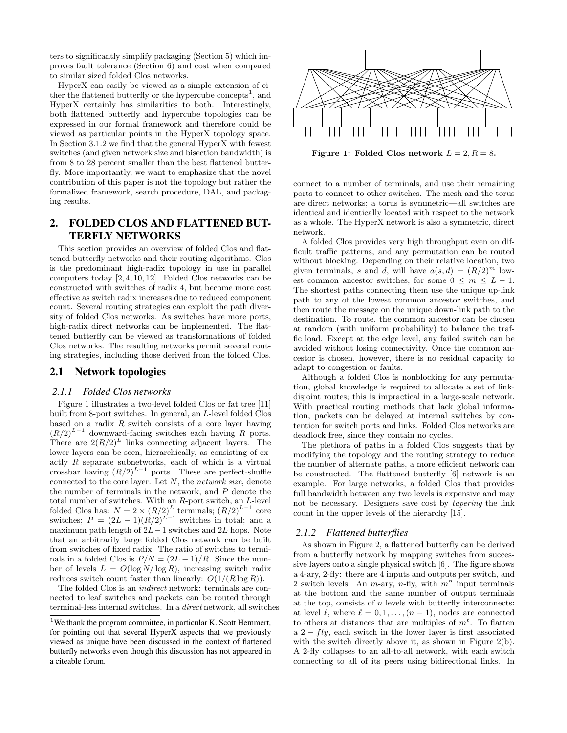ters to significantly simplify packaging (Section 5) which improves fault tolerance (Section 6) and cost when compared to similar sized folded Clos networks.

HyperX can easily be viewed as a simple extension of either the flattened butterfly or the hypercube concepts<sup>1</sup>, and HyperX certainly has similarities to both. Interestingly, both flattened butterfly and hypercube topologies can be expressed in our formal framework and therefore could be viewed as particular points in the HyperX topology space. In Section 3.1.2 we find that the general HyperX with fewest switches (and given network size and bisection bandwidth) is from 8 to 28 percent smaller than the best flattened butterfly. More importantly, we want to emphasize that the novel contribution of this paper is not the topology but rather the formalized framework, search procedure, DAL, and packaging results.

# 2. FOLDED CLOS AND FLATTENED BUT-TERFLY NETWORKS

This section provides an overview of folded Clos and flattened butterfly networks and their routing algorithms. Clos is the predominant high-radix topology in use in parallel computers today [2, 4, 10, 12]. Folded Clos networks can be constructed with switches of radix 4, but become more cost effective as switch radix increases due to reduced component count. Several routing strategies can exploit the path diversity of folded Clos networks. As switches have more ports, high-radix direct networks can be implemented. The flattened butterfly can be viewed as transformations of folded Clos networks. The resulting networks permit several routing strategies, including those derived from the folded Clos.

# 2.1 Network topologies

# *2.1.1 Folded Clos networks*

Figure 1 illustrates a two-level folded Clos or fat tree [11] built from 8-port switches. In general, an L-level folded Clos based on a radix  $R$  switch consists of a core layer having  $(R/2)^{L-1}$  downward-facing switches each having R ports. There are  $2(R/2)^L$  links connecting adjacent layers. The lower layers can be seen, hierarchically, as consisting of exactly R separate subnetworks, each of which is a virtual crossbar having  $(R/2)^{L-1}$  ports. These are perfect-shuffle connected to the core layer. Let N, the network size, denote the number of terminals in the network, and P denote the total number of switches. With an R-port switch, an L-level folded Clos has:  $N = 2 \times (R/2)^L$  terminals;  $(R/2)^{L-1}$  core switches;  $P = (2L - 1)(R/2)^{L-1}$  switches in total; and a maximum path length of  $2L-1$  switches and  $2L$  hops. Note that an arbitrarily large folded Clos network can be built from switches of fixed radix. The ratio of switches to terminals in a folded Clos is  $P/N = (2L - 1)/R$ . Since the number of levels  $L = O(\log N / \log R)$ , increasing switch radix reduces switch count faster than linearly:  $O(1/(R \log R))$ .

The folded Clos is an *indirect* network: terminals are connected to leaf switches and packets can be routed through terminal-less internal switches. In a direct network, all switches



Figure 1: Folded Clos network  $L = 2, R = 8$ .

connect to a number of terminals, and use their remaining ports to connect to other switches. The mesh and the torus are direct networks; a torus is symmetric—all switches are identical and identically located with respect to the network as a whole. The HyperX network is also a symmetric, direct network.

A folded Clos provides very high throughput even on difficult traffic patterns, and any permutation can be routed without blocking. Depending on their relative location, two given terminals, s and d, will have  $a(s, d) = (R/2)^m$  lowest common ancestor switches, for some  $0 \leq m \leq L - 1$ . The shortest paths connecting them use the unique up-link path to any of the lowest common ancestor switches, and then route the message on the unique down-link path to the destination. To route, the common ancestor can be chosen at random (with uniform probability) to balance the traffic load. Except at the edge level, any failed switch can be avoided without losing connectivity. Once the common ancestor is chosen, however, there is no residual capacity to adapt to congestion or faults.

Although a folded Clos is nonblocking for any permutation, global knowledge is required to allocate a set of linkdisjoint routes; this is impractical in a large-scale network. With practical routing methods that lack global information, packets can be delayed at internal switches by contention for switch ports and links. Folded Clos networks are deadlock free, since they contain no cycles.

The plethora of paths in a folded Clos suggests that by modifying the topology and the routing strategy to reduce the number of alternate paths, a more efficient network can be constructed. The flattened butterfly [6] network is an example. For large networks, a folded Clos that provides full bandwidth between any two levels is expensive and may not be necessary. Designers save cost by tapering the link count in the upper levels of the hierarchy [15].

## *2.1.2 Flattened butterflies*

As shown in Figure 2, a flattened butterfly can be derived from a butterfly network by mapping switches from successive layers onto a single physical switch [6]. The figure shows a 4-ary, 2-fly: there are 4 inputs and outputs per switch, and 2 switch levels. An  $m$ -ary,  $n$ -fly, with  $m<sup>n</sup>$  input terminals at the bottom and the same number of output terminals at the top, consists of  $n$  levels with butterfly interconnects: at level  $\ell$ , where  $\ell = 0, 1, \ldots, (n - 1)$ , nodes are connected to others at distances that are multiples of  $m^{\ell}$ . To flatten a  $2 - fly$ , each switch in the lower layer is first associated with the switch directly above it, as shown in Figure 2(b). A 2-fly collapses to an all-to-all network, with each switch connecting to all of its peers using bidirectional links. In

<sup>&</sup>lt;sup>1</sup>We thank the program committee, in particular K. Scott Hemmert, for pointing out that several HyperX aspects that we previously viewed as unique have been discussed in the context of flattened butterfly networks even though this discussion has not appeared in a citeable forum.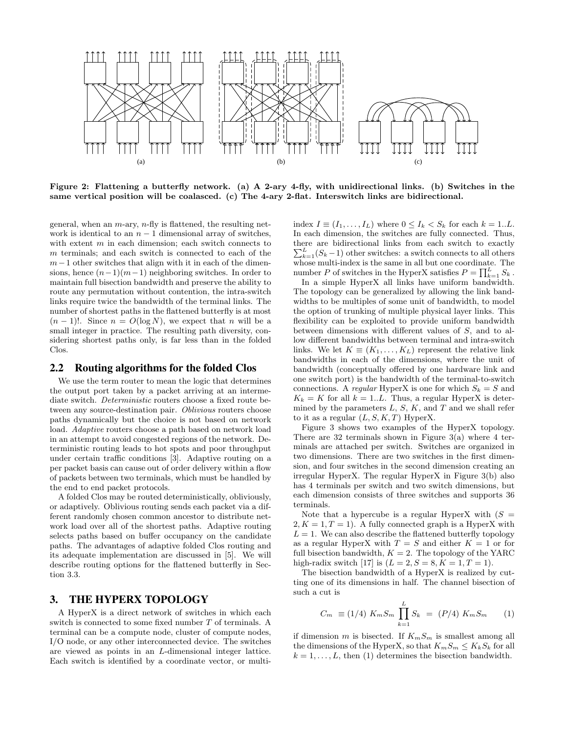

Figure 2: Flattening a butterfly network. (a) A 2-ary 4-fly, with unidirectional links. (b) Switches in the same vertical position will be coalasced. (c) The 4-ary 2-flat. Interswitch links are bidirectional.

general, when an  $m$ -ary,  $n$ -fly is flattened, the resulting network is identical to an  $n-1$  dimensional array of switches, with extent  $m$  in each dimension; each switch connects to m terminals; and each switch is connected to each of the  $m-1$  other switches that align with it in each of the dimensions, hence  $(n-1)(m-1)$  neighboring switches. In order to maintain full bisection bandwidth and preserve the ability to route any permutation without contention, the intra-switch links require twice the bandwidth of the terminal links. The number of shortest paths in the flattened butterfly is at most  $(n-1)!$ . Since  $n = O(\log N)$ , we expect that n will be a small integer in practice. The resulting path diversity, considering shortest paths only, is far less than in the folded Clos.

#### 2.2 Routing algorithms for the folded Clos

We use the term router to mean the logic that determines the output port taken by a packet arriving at an intermediate switch. Deterministic routers choose a fixed route between any source-destination pair. Oblivious routers choose paths dynamically but the choice is not based on network load. Adaptive routers choose a path based on network load in an attempt to avoid congested regions of the network. Deterministic routing leads to hot spots and poor throughput under certain traffic conditions [3]. Adaptive routing on a per packet basis can cause out of order delivery within a flow of packets between two terminals, which must be handled by the end to end packet protocols.

A folded Clos may be routed deterministically, obliviously, or adaptively. Oblivious routing sends each packet via a different randomly chosen common ancestor to distribute network load over all of the shortest paths. Adaptive routing selects paths based on buffer occupancy on the candidate paths. The advantages of adaptive folded Clos routing and its adequate implementation are discussed in [5]. We will describe routing options for the flattened butterfly in Section 3.3.

## 3. THE HYPERX TOPOLOGY

A HyperX is a direct network of switches in which each switch is connected to some fixed number T of terminals. A terminal can be a compute node, cluster of compute nodes, I/O node, or any other interconnected device. The switches are viewed as points in an L-dimensional integer lattice. Each switch is identified by a coordinate vector, or multiindex  $I \equiv (I_1, \ldots, I_L)$  where  $0 \leq I_k \leq S_k$  for each  $k = 1...L$ . In each dimension, the switches are fully connected. Thus, there are bidirectional links from each switch to exactly  $\sum_{k=1}^{L} (S_k - 1)$  other switches: a switch connects to all others whose multi-index is the same in all but one coordinate. The number P of switches in the HyperX satisfies  $P = \prod_{k=1}^{L} S_k$ .

In a simple HyperX all links have uniform bandwidth. The topology can be generalized by allowing the link bandwidths to be multiples of some unit of bandwidth, to model the option of trunking of multiple physical layer links. This flexibility can be exploited to provide uniform bandwidth between dimensions with different values of S, and to allow different bandwidths between terminal and intra-switch links. We let  $K \equiv (K_1, \ldots, K_L)$  represent the relative link bandwidths in each of the dimensions, where the unit of bandwidth (conceptually offered by one hardware link and one switch port) is the bandwidth of the terminal-to-switch connections. A regular HyperX is one for which  $S_k = S$  and  $K_k = K$  for all  $k = 1...L$ . Thus, a regular HyperX is determined by the parameters  $L, S, K$ , and  $T$  and we shall refer to it as a regular  $(L, S, K, T)$  HyperX.

Figure 3 shows two examples of the HyperX topology. There are  $32$  terminals shown in Figure  $3(a)$  where  $4$  terminals are attached per switch. Switches are organized in two dimensions. There are two switches in the first dimension, and four switches in the second dimension creating an irregular HyperX. The regular HyperX in Figure 3(b) also has 4 terminals per switch and two switch dimensions, but each dimension consists of three switches and supports 36 terminals.

Note that a hypercube is a regular HyperX with  $(S =$  $2, K = 1, T = 1$ . A fully connected graph is a HyperX with  $L = 1$ . We can also describe the flattened butterfly topology as a regular HyperX with  $T = S$  and either  $K = 1$  or for full bisection bandwidth,  $K = 2$ . The topology of the YARC high-radix switch [17] is  $(L = 2, S = 8, K = 1, T = 1)$ .

The bisection bandwidth of a HyperX is realized by cutting one of its dimensions in half. The channel bisection of such a cut is

$$
C_m \equiv (1/4) \; K_m S_m \prod_{k=1}^{L} S_k \; = \; (P/4) \; K_m S_m \qquad (1)
$$

if dimension m is bisected. If  $K_mS_m$  is smallest among all the dimensions of the HyperX, so that  $K_mS_m \leq K_kS_k$  for all  $k = 1, \ldots, L$ , then (1) determines the bisection bandwidth.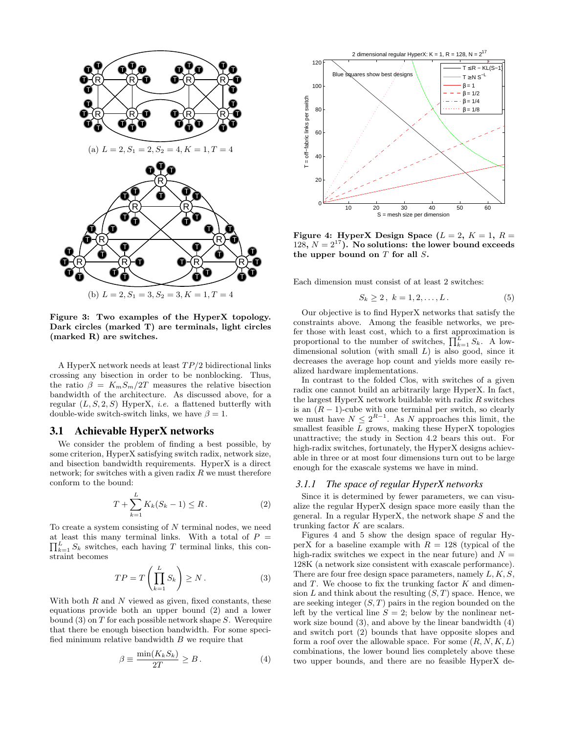

Figure 3: Two examples of the HyperX topology. Dark circles (marked T) are terminals, light circles (marked R) are switches.

A HyperX network needs at least  $TP/2$  bidirectional links crossing any bisection in order to be nonblocking. Thus, the ratio  $\beta = K_m S_m / 2T$  measures the relative bisection bandwidth of the architecture. As discussed above, for a regular  $(L, S, 2, S)$  HyperX, *i.e.* a flattened butterfly with double-wide switch-switch links, we have  $\beta = 1$ .

## 3.1 Achievable HyperX networks

We consider the problem of finding a best possible, by some criterion, HyperX satisfying switch radix, network size, and bisection bandwidth requirements. HyperX is a direct network; for switches with a given radix  $R$  we must therefore conform to the bound:

$$
T + \sum_{k=1}^{L} K_k (S_k - 1) \le R.
$$
 (2)

To create a system consisting of  $N$  terminal nodes, we need at least this many terminal links. With a total of  $P =$  $\prod_{k=1}^{L} S_k$  switches, each having T terminal links, this constraint becomes

$$
TP = T\left(\prod_{k=1}^{L} S_k\right) \ge N. \tag{3}
$$

With both  $R$  and  $N$  viewed as given, fixed constants, these equations provide both an upper bound (2) and a lower bound  $(3)$  on T for each possible network shape S. Werequire that there be enough bisection bandwidth. For some specified minimum relative bandwidth  $B$  we require that

$$
\beta \equiv \frac{\min(K_k S_k)}{2T} \ge B. \tag{4}
$$



Figure 4: HyperX Design Space  $(L = 2, K = 1, R =$ 128,  $N = 2^{17}$ ). No solutions: the lower bound exceeds the upper bound on  $T$  for all  $S$ .

Each dimension must consist of at least 2 switches:

$$
S_k \ge 2, \ k = 1, 2, \dots, L. \tag{5}
$$

Our objective is to find HyperX networks that satisfy the constraints above. Among the feasible networks, we prefer those with least cost, which to a first approximation is proportional to the number of switches,  $\prod_{k=1}^{L} S_k$ . A lowdimensional solution (with small  $L$ ) is also good, since it decreases the average hop count and yields more easily realized hardware implementations.

In contrast to the folded Clos, with switches of a given radix one cannot build an arbitrarily large HyperX. In fact, the largest HyperX network buildable with radix  $R$  switches is an  $(R - 1)$ -cube with one terminal per switch, so clearly we must have  $N \leq 2^{R-1}$ . As N approaches this limit, the smallest feasible L grows, making these HyperX topologies unattractive; the study in Section 4.2 bears this out. For high-radix switches, fortunately, the HyperX designs achievable in three or at most four dimensions turn out to be large enough for the exascale systems we have in mind.

## *3.1.1 The space of regular HyperX networks*

Since it is determined by fewer parameters, we can visualize the regular HyperX design space more easily than the general. In a regular HyperX, the network shape  $S$  and the trunking factor  $K$  are scalars.

Figures 4 and 5 show the design space of regular HyperX for a baseline example with  $R = 128$  (typical of the high-radix switches we expect in the near future) and  $N =$ 128K (a network size consistent with exascale performance). There are four free design space parameters, namely  $L, K, S$ , and  $T$ . We choose to fix the trunking factor  $K$  and dimension L and think about the resulting  $(S, T)$  space. Hence, we are seeking integer  $(S, T)$  pairs in the region bounded on the left by the vertical line  $S = 2$ ; below by the nonlinear network size bound (3), and above by the linear bandwidth (4) and switch port (2) bounds that have opposite slopes and form a roof over the allowable space. For some  $(R, N, K, L)$ combinations, the lower bound lies completely above these two upper bounds, and there are no feasible HyperX de-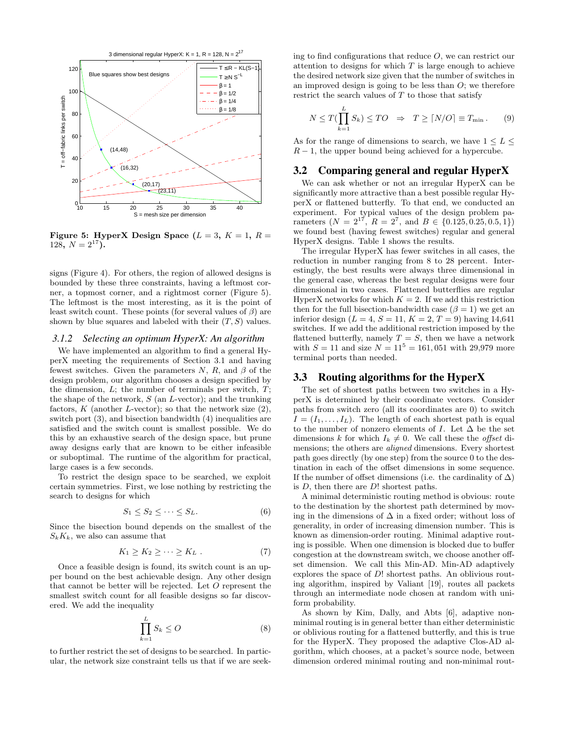

Figure 5: HyperX Design Space  $(L = 3, K = 1, R =$ 128,  $N = 2^{17}$ .

signs (Figure 4). For others, the region of allowed designs is bounded by these three constraints, having a leftmost corner, a topmost corner, and a rightmost corner (Figure 5). The leftmost is the most interesting, as it is the point of least switch count. These points (for several values of  $\beta$ ) are shown by blue squares and labeled with their  $(T, S)$  values.

#### *3.1.2 Selecting an optimum HyperX: An algorithm*

We have implemented an algorithm to find a general HyperX meeting the requirements of Section 3.1 and having fewest switches. Given the parameters  $N$ , R, and  $\beta$  of the design problem, our algorithm chooses a design specified by the dimension,  $L$ ; the number of terminals per switch,  $T$ ; the shape of the network,  $S$  (an  $L$ -vector); and the trunking factors,  $K$  (another L-vector); so that the network size  $(2)$ , switch port  $(3)$ , and bisection bandwidth  $(4)$  inequalities are satisfied and the switch count is smallest possible. We do this by an exhaustive search of the design space, but prune away designs early that are known to be either infeasible or suboptimal. The runtime of the algorithm for practical, large cases is a few seconds.

To restrict the design space to be searched, we exploit certain symmetries. First, we lose nothing by restricting the search to designs for which

$$
S_1 \le S_2 \le \dots \le S_L. \tag{6}
$$

Since the bisection bound depends on the smallest of the  $S_k K_k$ , we also can assume that

$$
K_1 \ge K_2 \ge \cdots \ge K_L \tag{7}
$$

Once a feasible design is found, its switch count is an upper bound on the best achievable design. Any other design that cannot be better will be rejected. Let O represent the smallest switch count for all feasible designs so far discovered. We add the inequality

$$
\prod_{k=1}^{L} S_k \le O \tag{8}
$$

to further restrict the set of designs to be searched. In particular, the network size constraint tells us that if we are seeking to find configurations that reduce  $O$ , we can restrict our attention to designs for which  $T$  is large enough to achieve the desired network size given that the number of switches in an improved design is going to be less than  $O$ ; we therefore restrict the search values of  $T$  to those that satisfy

$$
N \le T(\prod_{k=1}^{L} S_k) \le TO \Rightarrow T \ge \lceil N/O \rceil \equiv T_{\min}.
$$
 (9)

As for the range of dimensions to search, we have  $1 \leq L \leq$  $R-1$ , the upper bound being achieved for a hypercube.

### 3.2 Comparing general and regular HyperX

We can ask whether or not an irregular HyperX can be significantly more attractive than a best possible regular HyperX or flattened butterfly. To that end, we conducted an experiment. For typical values of the design problem parameters  $(N = 2^{17}, R = 2^7, \text{ and } B \in \{0.125, 0.25, 0.5, 1\})$ we found best (having fewest switches) regular and general HyperX designs. Table 1 shows the results.

The irregular HyperX has fewer switches in all cases, the reduction in number ranging from 8 to 28 percent. Interestingly, the best results were always three dimensional in the general case, whereas the best regular designs were four dimensional in two cases. Flattened butterflies are regular HyperX networks for which  $K = 2$ . If we add this restriction then for the full bisection-bandwidth case ( $\beta = 1$ ) we get an inferior design  $(L = 4, S = 11, K = 2, T = 9)$  having 14,641 switches. If we add the additional restriction imposed by the flattened butterfly, namely  $T = S$ , then we have a network with  $S = 11$  and size  $N = 11^5 = 161,051$  with 29,979 more terminal ports than needed.

# 3.3 Routing algorithms for the HyperX

The set of shortest paths between two switches in a HyperX is determined by their coordinate vectors. Consider paths from switch zero (all its coordinates are 0) to switch  $I = (I_1, \ldots, I_L)$ . The length of each shortest path is equal to the number of nonzero elements of I. Let  $\Delta$  be the set dimensions k for which  $I_k \neq 0$ . We call these the *offset* dimensions; the others are aligned dimensions. Every shortest path goes directly (by one step) from the source 0 to the destination in each of the offset dimensions in some sequence. If the number of offset dimensions (i.e. the cardinality of  $\Delta$ ) is D, then there are D! shortest paths.

A minimal deterministic routing method is obvious: route to the destination by the shortest path determined by moving in the dimensions of  $\Delta$  in a fixed order; without loss of generality, in order of increasing dimension number. This is known as dimension-order routing. Minimal adaptive routing is possible. When one dimension is blocked due to buffer congestion at the downstream switch, we choose another offset dimension. We call this Min-AD. Min-AD adaptively explores the space of D! shortest paths. An oblivious routing algorithm, inspired by Valiant [19], routes all packets through an intermediate node chosen at random with uniform probability.

As shown by Kim, Dally, and Abts [6], adaptive nonminimal routing is in general better than either deterministic or oblivious routing for a flattened butterfly, and this is true for the HyperX. They proposed the adaptive Clos-AD algorithm, which chooses, at a packet's source node, between dimension ordered minimal routing and non-minimal rout-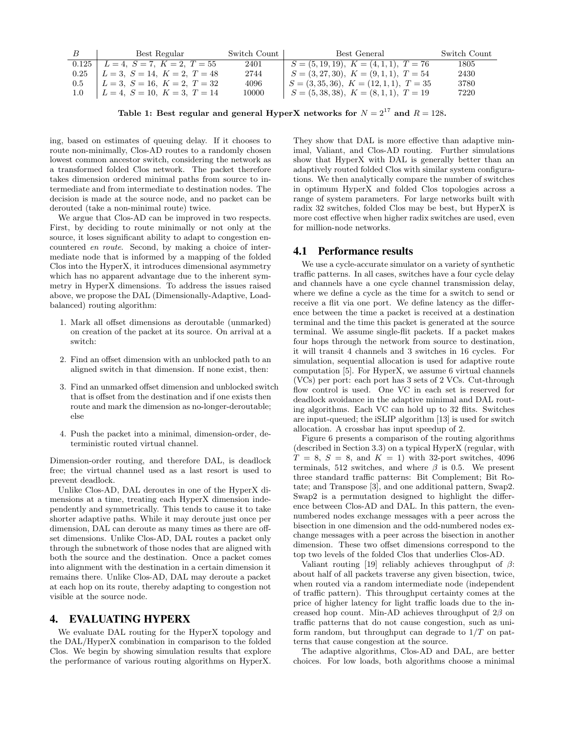| $\boldsymbol{\beta}$ | Best Regular                            | Switch Count | Best General                              | Switch Count |
|----------------------|-----------------------------------------|--------------|-------------------------------------------|--------------|
| $0.125$              | $L = 4, S = 7, K = 2, T = 55$           | 2401         | $S = (5, 19, 19), K = (4, 1, 1), T = 76$  | 1805         |
| 0.25                 | $L = 3, S = 14, K = 2, T = 48$          | 2744         | $S = (3, 27, 30), K = (9, 1, 1), T = 54$  | 2430         |
| 0.5                  | $L = 3, S = 16, K = 2, T = 32$          | 4096         | $S = (3, 35, 36), K = (12, 1, 1), T = 35$ | 3780         |
| 1.0                  | $L = 4$ , $S = 10$ , $K = 3$ , $T = 14$ | 10000        | $S = (5, 38, 38), K = (8, 1, 1), T = 19$  | 7220         |

Table 1: Best regular and general HyperX networks for  $N = 2^{17}$  and  $R = 128$ .

ing, based on estimates of queuing delay. If it chooses to route non-minimally, Clos-AD routes to a randomly chosen lowest common ancestor switch, considering the network as a transformed folded Clos network. The packet therefore takes dimension ordered minimal paths from source to intermediate and from intermediate to destination nodes. The decision is made at the source node, and no packet can be derouted (take a non-minimal route) twice.

We argue that Clos-AD can be improved in two respects. First, by deciding to route minimally or not only at the source, it loses significant ability to adapt to congestion encountered en route. Second, by making a choice of intermediate node that is informed by a mapping of the folded Clos into the HyperX, it introduces dimensional asymmetry which has no apparent advantage due to the inherent symmetry in HyperX dimensions. To address the issues raised above, we propose the DAL (Dimensionally-Adaptive, Loadbalanced) routing algorithm:

- 1. Mark all offset dimensions as deroutable (unmarked) on creation of the packet at its source. On arrival at a switch:
- 2. Find an offset dimension with an unblocked path to an aligned switch in that dimension. If none exist, then:
- 3. Find an unmarked offset dimension and unblocked switch that is offset from the destination and if one exists then route and mark the dimension as no-longer-deroutable; else
- 4. Push the packet into a minimal, dimension-order, deterministic routed virtual channel.

Dimension-order routing, and therefore DAL, is deadlock free; the virtual channel used as a last resort is used to prevent deadlock.

Unlike Clos-AD, DAL deroutes in one of the HyperX dimensions at a time, treating each HyperX dimension independently and symmetrically. This tends to cause it to take shorter adaptive paths. While it may deroute just once per dimension, DAL can deroute as many times as there are offset dimensions. Unlike Clos-AD, DAL routes a packet only through the subnetwork of those nodes that are aligned with both the source and the destination. Once a packet comes into alignment with the destination in a certain dimension it remains there. Unlike Clos-AD, DAL may deroute a packet at each hop on its route, thereby adapting to congestion not visible at the source node.

# 4. EVALUATING HYPERX

We evaluate DAL routing for the HyperX topology and the DAL/HyperX combination in comparison to the folded Clos. We begin by showing simulation results that explore the performance of various routing algorithms on HyperX. They show that DAL is more effective than adaptive minimal, Valiant, and Clos-AD routing. Further simulations show that HyperX with DAL is generally better than an adaptively routed folded Clos with similar system configurations. We then analytically compare the number of switches in optimum HyperX and folded Clos topologies across a range of system parameters. For large networks built with radix 32 switches, folded Clos may be best, but HyperX is more cost effective when higher radix switches are used, even for million-node networks.

# 4.1 Performance results

We use a cycle-accurate simulator on a variety of synthetic traffic patterns. In all cases, switches have a four cycle delay and channels have a one cycle channel transmission delay, where we define a cycle as the time for a switch to send or receive a flit via one port. We define latency as the difference between the time a packet is received at a destination terminal and the time this packet is generated at the source terminal. We assume single-flit packets. If a packet makes four hops through the network from source to destination, it will transit 4 channels and 3 switches in 16 cycles. For simulation, sequential allocation is used for adaptive route computation [5]. For HyperX, we assume 6 virtual channels (VCs) per port: each port has 3 sets of 2 VCs. Cut-through flow control is used. One VC in each set is reserved for deadlock avoidance in the adaptive minimal and DAL routing algorithms. Each VC can hold up to 32 flits. Switches are input-queued; the iSLIP algorithm [13] is used for switch allocation. A crossbar has input speedup of 2.

Figure 6 presents a comparison of the routing algorithms (described in Section 3.3) on a typical HyperX (regular, with  $T = 8$ ,  $S = 8$ , and  $K = 1$ ) with 32-port switches, 4096 terminals, 512 switches, and where  $\beta$  is 0.5. We present three standard traffic patterns: Bit Complement; Bit Rotate; and Transpose [3], and one additional pattern, Swap2. Swap2 is a permutation designed to highlight the difference between Clos-AD and DAL. In this pattern, the evennumbered nodes exchange messages with a peer across the bisection in one dimension and the odd-numbered nodes exchange messages with a peer across the bisection in another dimension. These two offset dimensions correspond to the top two levels of the folded Clos that underlies Clos-AD.

Valiant routing [19] reliably achieves throughput of  $\beta$ : about half of all packets traverse any given bisection, twice, when routed via a random intermediate node (independent of traffic pattern). This throughput certainty comes at the price of higher latency for light traffic loads due to the increased hop count. Min-AD achieves throughput of  $2\beta$  on traffic patterns that do not cause congestion, such as uniform random, but throughput can degrade to  $1/T$  on patterns that cause congestion at the source.

The adaptive algorithms, Clos-AD and DAL, are better choices. For low loads, both algorithms choose a minimal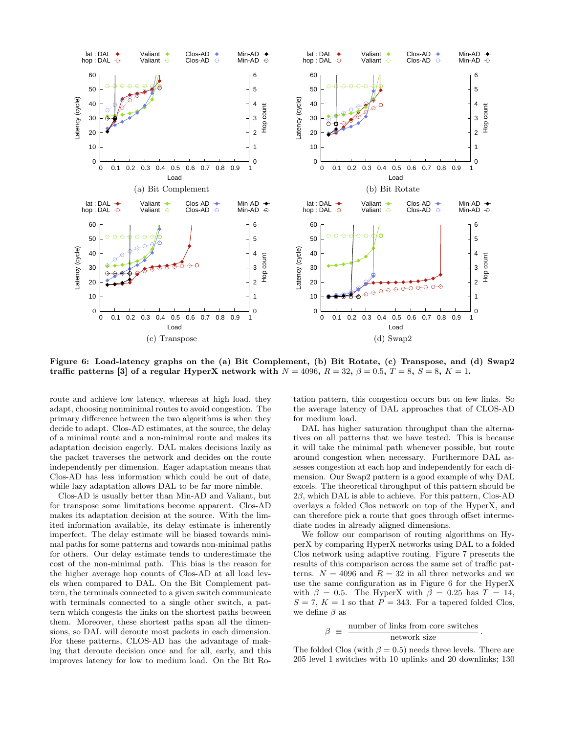

Figure 6: Load-latency graphs on the (a) Bit Complement, (b) Bit Rotate, (c) Transpose, and (d) Swap2 traffic patterns [3] of a regular HyperX network with  $N = 4096$ ,  $R = 32$ ,  $\beta = 0.5$ ,  $T = 8$ ,  $S = 8$ ,  $K = 1$ .

route and achieve low latency, whereas at high load, they adapt, choosing nonminimal routes to avoid congestion. The primary difference between the two algorithms is when they decide to adapt. Clos-AD estimates, at the source, the delay of a minimal route and a non-minimal route and makes its adaptation decision eagerly. DAL makes decisions lazily as the packet traverses the network and decides on the route independently per dimension. Eager adaptation means that Clos-AD has less information which could be out of date, while lazy adaptation allows DAL to be far more nimble.

Clos-AD is usually better than Min-AD and Valiant, but for transpose some limitations become apparent. Clos-AD makes its adaptation decision at the source. With the limited information available, its delay estimate is inherently imperfect. The delay estimate will be biased towards minimal paths for some patterns and towards non-minimal paths for others. Our delay estimate tends to underestimate the cost of the non-minimal path. This bias is the reason for the higher average hop counts of Clos-AD at all load levels when compared to DAL. On the Bit Complement pattern, the terminals connected to a given switch communicate with terminals connected to a single other switch, a pattern which congests the links on the shortest paths between them. Moreover, these shortest paths span all the dimensions, so DAL will deroute most packets in each dimension. For these patterns, CLOS-AD has the advantage of making that deroute decision once and for all, early, and this improves latency for low to medium load. On the Bit Rotation pattern, this congestion occurs but on few links. So the average latency of DAL approaches that of CLOS-AD for medium load.

DAL has higher saturation throughput than the alternatives on all patterns that we have tested. This is because it will take the minimal path whenever possible, but route around congestion when necessary. Furthermore DAL assesses congestion at each hop and independently for each dimension. Our Swap2 pattern is a good example of why DAL excels. The theoretical throughput of this pattern should be  $2\beta$ , which DAL is able to achieve. For this pattern, Clos-AD overlays a folded Clos network on top of the HyperX, and can therefore pick a route that goes through offset intermediate nodes in already aligned dimensions.

We follow our comparison of routing algorithms on HyperX by comparing HyperX networks using DAL to a folded Clos network using adaptive routing. Figure 7 presents the results of this comparison across the same set of traffic patterns.  $N = 4096$  and  $R = 32$  in all three networks and we use the same configuration as in Figure 6 for the HyperX with  $\beta = 0.5$ . The HyperX with  $\beta = 0.25$  has  $T = 14$ ,  $S = 7, K = 1$  so that  $P = 343$ . For a tapered folded Clos, we define  $\beta$  as

$$
\beta \equiv \frac{\text{number of links from core switches}}{\text{network size}}.
$$

The folded Clos (with  $\beta = 0.5$ ) needs three levels. There are 205 level 1 switches with 10 uplinks and 20 downlinks; 130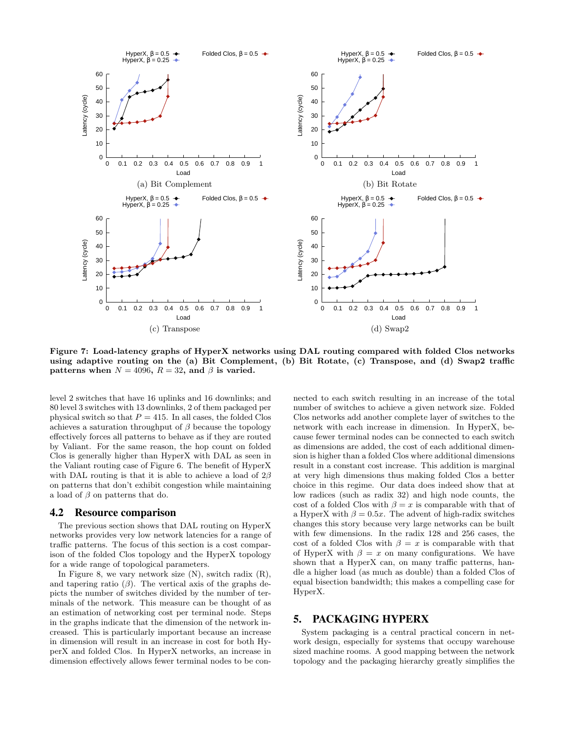

Figure 7: Load-latency graphs of HyperX networks using DAL routing compared with folded Clos networks using adaptive routing on the (a) Bit Complement, (b) Bit Rotate, (c) Transpose, and (d) Swap2 traffic patterns when  $N = 4096$ ,  $R = 32$ , and  $\beta$  is varied.

level 2 switches that have 16 uplinks and 16 downlinks; and 80 level 3 switches with 13 downlinks, 2 of them packaged per physical switch so that  $P = 415$ . In all cases, the folded Clos achieves a saturation throughput of  $\beta$  because the topology effectively forces all patterns to behave as if they are routed by Valiant. For the same reason, the hop count on folded Clos is generally higher than HyperX with DAL as seen in the Valiant routing case of Figure 6. The benefit of HyperX with DAL routing is that it is able to achieve a load of  $2\beta$ on patterns that don't exhibit congestion while maintaining a load of  $\beta$  on patterns that do.

## 4.2 Resource comparison

The previous section shows that DAL routing on HyperX networks provides very low network latencies for a range of traffic patterns. The focus of this section is a cost comparison of the folded Clos topology and the HyperX topology for a wide range of topological parameters.

In Figure 8, we vary network size  $(N)$ , switch radix  $(R)$ , and tapering ratio  $(\beta)$ . The vertical axis of the graphs depicts the number of switches divided by the number of terminals of the network. This measure can be thought of as an estimation of networking cost per terminal node. Steps in the graphs indicate that the dimension of the network increased. This is particularly important because an increase in dimension will result in an increase in cost for both HyperX and folded Clos. In HyperX networks, an increase in dimension effectively allows fewer terminal nodes to be connected to each switch resulting in an increase of the total number of switches to achieve a given network size. Folded Clos networks add another complete layer of switches to the network with each increase in dimension. In HyperX, because fewer terminal nodes can be connected to each switch as dimensions are added, the cost of each additional dimension is higher than a folded Clos where additional dimensions result in a constant cost increase. This addition is marginal at very high dimensions thus making folded Clos a better choice in this regime. Our data does indeed show that at low radices (such as radix 32) and high node counts, the cost of a folded Clos with  $\beta = x$  is comparable with that of a HyperX with  $\beta = 0.5x$ . The advent of high-radix switches changes this story because very large networks can be built with few dimensions. In the radix 128 and 256 cases, the cost of a folded Clos with  $\beta = x$  is comparable with that of HyperX with  $\beta = x$  on many configurations. We have shown that a HyperX can, on many traffic patterns, handle a higher load (as much as double) than a folded Clos of equal bisection bandwidth; this makes a compelling case for HyperX.

# 5. PACKAGING HYPERX

System packaging is a central practical concern in network design, especially for systems that occupy warehouse sized machine rooms. A good mapping between the network topology and the packaging hierarchy greatly simplifies the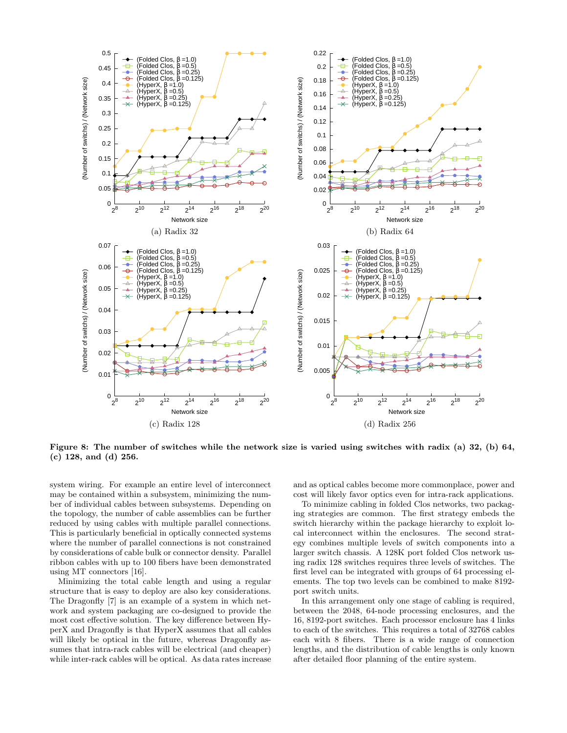

Figure 8: The number of switches while the network size is varied using switches with radix (a) 32, (b) 64, (c) 128, and (d) 256.

system wiring. For example an entire level of interconnect may be contained within a subsystem, minimizing the number of individual cables between subsystems. Depending on the topology, the number of cable assemblies can be further reduced by using cables with multiple parallel connections. This is particularly beneficial in optically connected systems where the number of parallel connections is not constrained by considerations of cable bulk or connector density. Parallel ribbon cables with up to 100 fibers have been demonstrated using MT connectors [16].

Minimizing the total cable length and using a regular structure that is easy to deploy are also key considerations. The Dragonfly [7] is an example of a system in which network and system packaging are co-designed to provide the most cost effective solution. The key difference between HyperX and Dragonfly is that HyperX assumes that all cables will likely be optical in the future, whereas Dragonfly assumes that intra-rack cables will be electrical (and cheaper) while inter-rack cables will be optical. As data rates increase and as optical cables become more commonplace, power and cost will likely favor optics even for intra-rack applications.

To minimize cabling in folded Clos networks, two packaging strategies are common. The first strategy embeds the switch hierarchy within the package hierarchy to exploit local interconnect within the enclosures. The second strategy combines multiple levels of switch components into a larger switch chassis. A 128K port folded Clos network using radix 128 switches requires three levels of switches. The first level can be integrated with groups of 64 processing elements. The top two levels can be combined to make 8192 port switch units.

In this arrangement only one stage of cabling is required, between the 2048, 64-node processing enclosures, and the 16, 8192-port switches. Each processor enclosure has 4 links to each of the switches. This requires a total of 32768 cables each with 8 fibers. There is a wide range of connection lengths, and the distribution of cable lengths is only known after detailed floor planning of the entire system.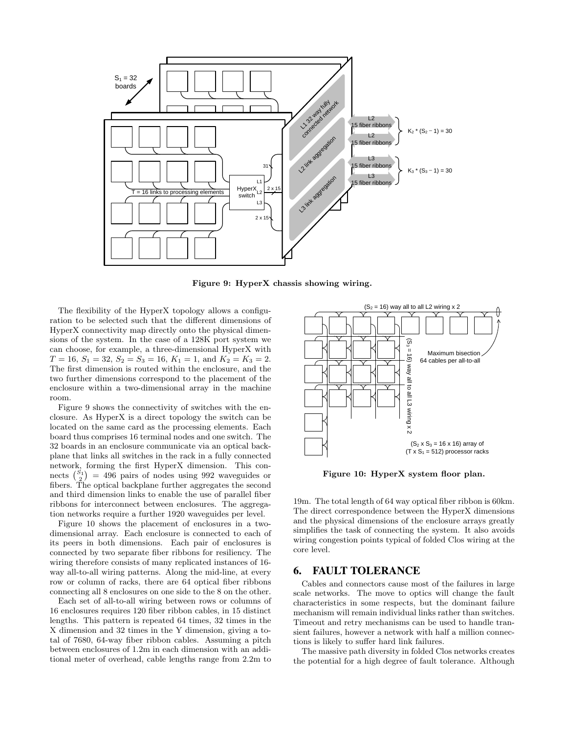

Figure 9: HyperX chassis showing wiring.

The flexibility of the HyperX topology allows a configuration to be selected such that the different dimensions of HyperX connectivity map directly onto the physical dimensions of the system. In the case of a 128K port system we can choose, for example, a three-dimensional HyperX with  $T = 16$ ,  $S_1 = 32$ ,  $S_2 = S_3 = 16$ ,  $K_1 = 1$ , and  $K_2 = K_3 = 2$ . The first dimension is routed within the enclosure, and the two further dimensions correspond to the placement of the enclosure within a two-dimensional array in the machine room.

Figure 9 shows the connectivity of switches with the enclosure. As HyperX is a direct topology the switch can be located on the same card as the processing elements. Each board thus comprises 16 terminal nodes and one switch. The 32 boards in an enclosure communicate via an optical backplane that links all switches in the rack in a fully connected network, forming the first HyperX dimension. This connects  $\binom{S_1}{2}$  = 496 pairs of nodes using 992 waveguides or fibers. The optical backplane further aggregates the second and third dimension links to enable the use of parallel fiber ribbons for interconnect between enclosures. The aggregation networks require a further 1920 waveguides per level.

Figure 10 shows the placement of enclosures in a twodimensional array. Each enclosure is connected to each of its peers in both dimensions. Each pair of enclosures is connected by two separate fiber ribbons for resiliency. The wiring therefore consists of many replicated instances of 16 way all-to-all wiring patterns. Along the mid-line, at every row or column of racks, there are 64 optical fiber ribbons connecting all 8 enclosures on one side to the 8 on the other.

Each set of all-to-all wiring between rows or columns of 16 enclosures requires 120 fiber ribbon cables, in 15 distinct lengths. This pattern is repeated 64 times, 32 times in the X dimension and 32 times in the Y dimension, giving a total of 7680, 64-way fiber ribbon cables. Assuming a pitch between enclosures of 1.2m in each dimension with an additional meter of overhead, cable lengths range from 2.2m to



Figure 10: HyperX system floor plan.

19m. The total length of 64 way optical fiber ribbon is 60km. The direct correspondence between the HyperX dimensions and the physical dimensions of the enclosure arrays greatly simplifies the task of connecting the system. It also avoids wiring congestion points typical of folded Clos wiring at the core level.

# 6. FAULT TOLERANCE

Cables and connectors cause most of the failures in large scale networks. The move to optics will change the fault characteristics in some respects, but the dominant failure mechanism will remain individual links rather than switches. Timeout and retry mechanisms can be used to handle transient failures, however a network with half a million connections is likely to suffer hard link failures.

The massive path diversity in folded Clos networks creates the potential for a high degree of fault tolerance. Although